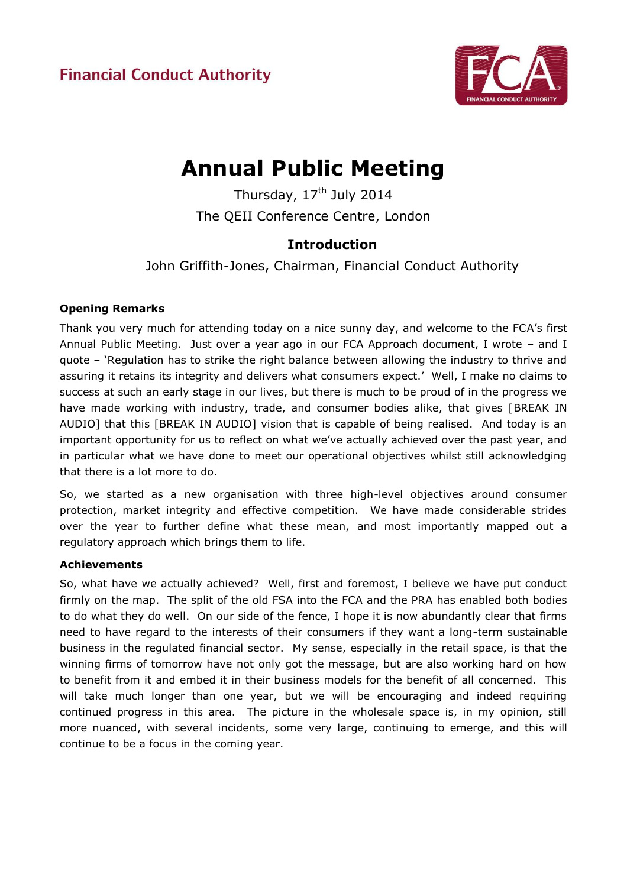

# **Annual Public Meeting**

Thursday,  $17<sup>th</sup>$  July 2014 The QEII Conference Centre, London

# **Introduction**

John Griffith-Jones, Chairman, Financial Conduct Authority

# **Opening Remarks**

Thank you very much for attending today on a nice sunny day, and welcome to the FCA's first Annual Public Meeting. Just over a year ago in our FCA Approach document, I wrote – and I quote – 'Regulation has to strike the right balance between allowing the industry to thrive and assuring it retains its integrity and delivers what consumers expect.' Well, I make no claims to success at such an early stage in our lives, but there is much to be proud of in the progress we have made working with industry, trade, and consumer bodies alike, that gives [BREAK IN AUDIO] that this [BREAK IN AUDIO] vision that is capable of being realised. And today is an important opportunity for us to reflect on what we've actually achieved over the past year, and in particular what we have done to meet our operational objectives whilst still acknowledging that there is a lot more to do.

So, we started as a new organisation with three high-level objectives around consumer protection, market integrity and effective competition. We have made considerable strides over the year to further define what these mean, and most importantly mapped out a regulatory approach which brings them to life.

## **Achievements**

So, what have we actually achieved? Well, first and foremost, I believe we have put conduct firmly on the map. The split of the old FSA into the FCA and the PRA has enabled both bodies to do what they do well. On our side of the fence, I hope it is now abundantly clear that firms need to have regard to the interests of their consumers if they want a long-term sustainable business in the regulated financial sector. My sense, especially in the retail space, is that the winning firms of tomorrow have not only got the message, but are also working hard on how to benefit from it and embed it in their business models for the benefit of all concerned. This will take much longer than one year, but we will be encouraging and indeed requiring continued progress in this area. The picture in the wholesale space is, in my opinion, still more nuanced, with several incidents, some very large, continuing to emerge, and this will continue to be a focus in the coming year.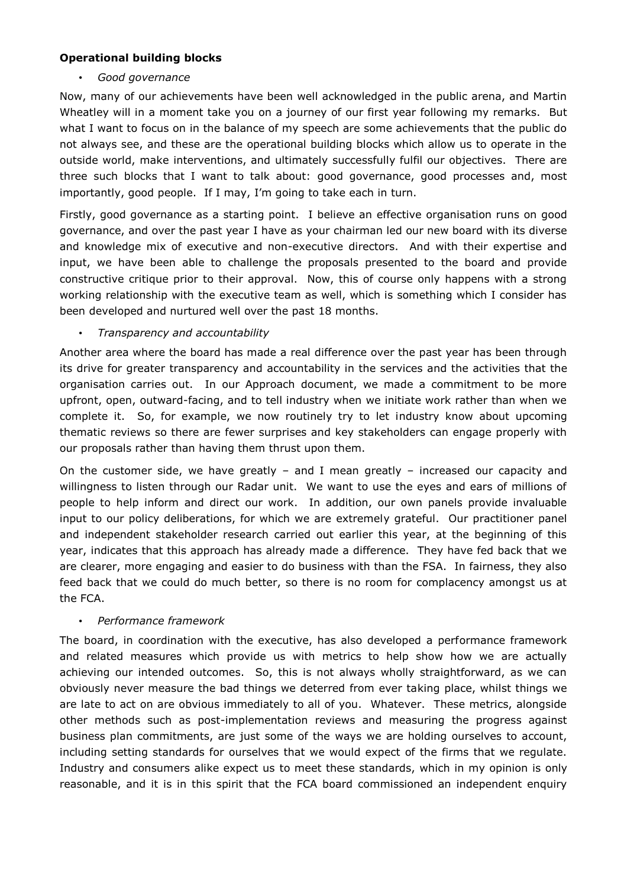#### **Operational building blocks**

## • *Good governance*

Now, many of our achievements have been well acknowledged in the public arena, and Martin Wheatley will in a moment take you on a journey of our first year following my remarks. But what I want to focus on in the balance of my speech are some achievements that the public do not always see, and these are the operational building blocks which allow us to operate in the outside world, make interventions, and ultimately successfully fulfil our objectives. There are three such blocks that I want to talk about: good governance, good processes and, most importantly, good people. If I may, I'm going to take each in turn.

Firstly, good governance as a starting point. I believe an effective organisation runs on good governance, and over the past year I have as your chairman led our new board with its diverse and knowledge mix of executive and non-executive directors. And with their expertise and input, we have been able to challenge the proposals presented to the board and provide constructive critique prior to their approval. Now, this of course only happens with a strong working relationship with the executive team as well, which is something which I consider has been developed and nurtured well over the past 18 months.

## • *Transparency and accountability*

Another area where the board has made a real difference over the past year has been through its drive for greater transparency and accountability in the services and the activities that the organisation carries out. In our Approach document, we made a commitment to be more upfront, open, outward-facing, and to tell industry when we initiate work rather than when we complete it. So, for example, we now routinely try to let industry know about upcoming thematic reviews so there are fewer surprises and key stakeholders can engage properly with our proposals rather than having them thrust upon them.

On the customer side, we have greatly – and I mean greatly – increased our capacity and willingness to listen through our Radar unit. We want to use the eyes and ears of millions of people to help inform and direct our work. In addition, our own panels provide invaluable input to our policy deliberations, for which we are extremely grateful. Our practitioner panel and independent stakeholder research carried out earlier this year, at the beginning of this year, indicates that this approach has already made a difference. They have fed back that we are clearer, more engaging and easier to do business with than the FSA. In fairness, they also feed back that we could do much better, so there is no room for complacency amongst us at the FCA.

## • *Performance framework*

The board, in coordination with the executive, has also developed a performance framework and related measures which provide us with metrics to help show how we are actually achieving our intended outcomes. So, this is not always wholly straightforward, as we can obviously never measure the bad things we deterred from ever taking place, whilst things we are late to act on are obvious immediately to all of you. Whatever. These metrics, alongside other methods such as post-implementation reviews and measuring the progress against business plan commitments, are just some of the ways we are holding ourselves to account, including setting standards for ourselves that we would expect of the firms that we regulate. Industry and consumers alike expect us to meet these standards, which in my opinion is only reasonable, and it is in this spirit that the FCA board commissioned an independent enquiry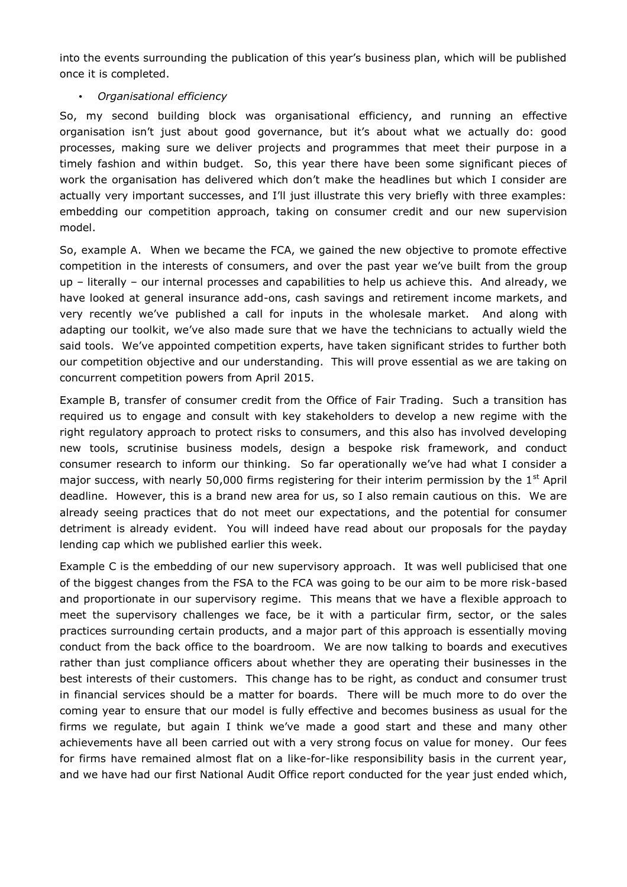into the events surrounding the publication of this year's business plan, which will be published once it is completed.

#### • *Organisational efficiency*

So, my second building block was organisational efficiency, and running an effective organisation isn't just about good governance, but it's about what we actually do: good processes, making sure we deliver projects and programmes that meet their purpose in a timely fashion and within budget. So, this year there have been some significant pieces of work the organisation has delivered which don't make the headlines but which I consider are actually very important successes, and I'll just illustrate this very briefly with three examples: embedding our competition approach, taking on consumer credit and our new supervision model.

So, example A. When we became the FCA, we gained the new objective to promote effective competition in the interests of consumers, and over the past year we've built from the group up – literally – our internal processes and capabilities to help us achieve this. And already, we have looked at general insurance add-ons, cash savings and retirement income markets, and very recently we've published a call for inputs in the wholesale market. And along with adapting our toolkit, we've also made sure that we have the technicians to actually wield the said tools. We've appointed competition experts, have taken significant strides to further both our competition objective and our understanding. This will prove essential as we are taking on concurrent competition powers from April 2015.

Example B, transfer of consumer credit from the Office of Fair Trading. Such a transition has required us to engage and consult with key stakeholders to develop a new regime with the right regulatory approach to protect risks to consumers, and this also has involved developing new tools, scrutinise business models, design a bespoke risk framework, and conduct consumer research to inform our thinking. So far operationally we've had what I consider a major success, with nearly 50,000 firms registering for their interim permission by the  $1<sup>st</sup>$  April deadline. However, this is a brand new area for us, so I also remain cautious on this. We are already seeing practices that do not meet our expectations, and the potential for consumer detriment is already evident. You will indeed have read about our proposals for the payday lending cap which we published earlier this week.

Example C is the embedding of our new supervisory approach. It was well publicised that one of the biggest changes from the FSA to the FCA was going to be our aim to be more risk-based and proportionate in our supervisory regime. This means that we have a flexible approach to meet the supervisory challenges we face, be it with a particular firm, sector, or the sales practices surrounding certain products, and a major part of this approach is essentially moving conduct from the back office to the boardroom. We are now talking to boards and executives rather than just compliance officers about whether they are operating their businesses in the best interests of their customers. This change has to be right, as conduct and consumer trust in financial services should be a matter for boards. There will be much more to do over the coming year to ensure that our model is fully effective and becomes business as usual for the firms we regulate, but again I think we've made a good start and these and many other achievements have all been carried out with a very strong focus on value for money. Our fees for firms have remained almost flat on a like-for-like responsibility basis in the current year, and we have had our first National Audit Office report conducted for the year just ended which,